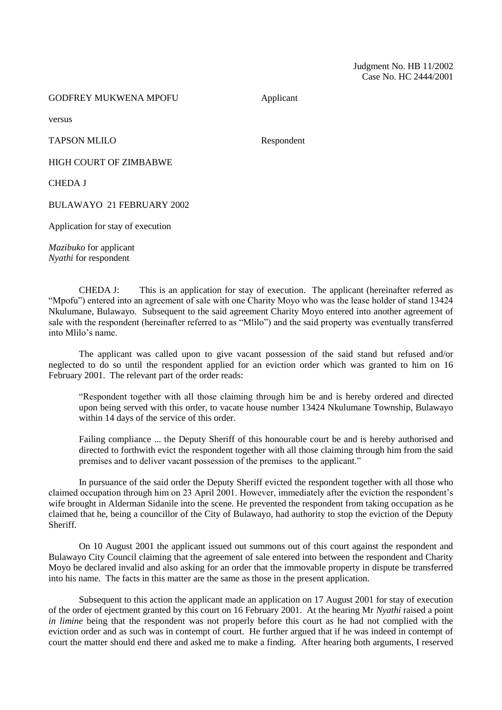## GODFREY MUKWENA MPOFU Applicant

versus

TAPSON MLILO Respondent

HIGH COURT OF ZIMBABWE

CHEDA J

BULAWAYO 21 FEBRUARY 2002

Application for stay of execution

*Mazibuko* for applicant *Nyathi* for respondent

CHEDA J: This is an application for stay of execution. The applicant (hereinafter referred as "Mpofu") entered into an agreement of sale with one Charity Moyo who was the lease holder of stand 13424 Nkulumane, Bulawayo. Subsequent to the said agreement Charity Moyo entered into another agreement of sale with the respondent (hereinafter referred to as "Mlilo") and the said property was eventually transferred into Mlilo's name.

The applicant was called upon to give vacant possession of the said stand but refused and/or neglected to do so until the respondent applied for an eviction order which was granted to him on 16 February 2001. The relevant part of the order reads:

"Respondent together with all those claiming through him be and is hereby ordered and directed upon being served with this order, to vacate house number 13424 Nkulumane Township, Bulawayo within 14 days of the service of this order.

Failing compliance ... the Deputy Sheriff of this honourable court be and is hereby authorised and directed to forthwith evict the respondent together with all those claiming through him from the said premises and to deliver vacant possession of the premises to the applicant."

In pursuance of the said order the Deputy Sheriff evicted the respondent together with all those who claimed occupation through him on 23 April 2001. However, immediately after the eviction the respondent's wife brought in Alderman Sidanile into the scene. He prevented the respondent from taking occupation as he claimed that he, being a councillor of the City of Bulawayo, had authority to stop the eviction of the Deputy Sheriff.

On 10 August 2001 the applicant issued out summons out of this court against the respondent and Bulawayo City Council claiming that the agreement of sale entered into between the respondent and Charity Moyo be declared invalid and also asking for an order that the immovable property in dispute be transferred into his name. The facts in this matter are the same as those in the present application.

Subsequent to this action the applicant made an application on 17 August 2001 for stay of execution of the order of ejectment granted by this court on 16 February 2001. At the hearing Mr *Nyathi* raised a point *in limine* being that the respondent was not properly before this court as he had not complied with the eviction order and as such was in contempt of court. He further argued that if he was indeed in contempt of court the matter should end there and asked me to make a finding. After hearing both arguments, I reserved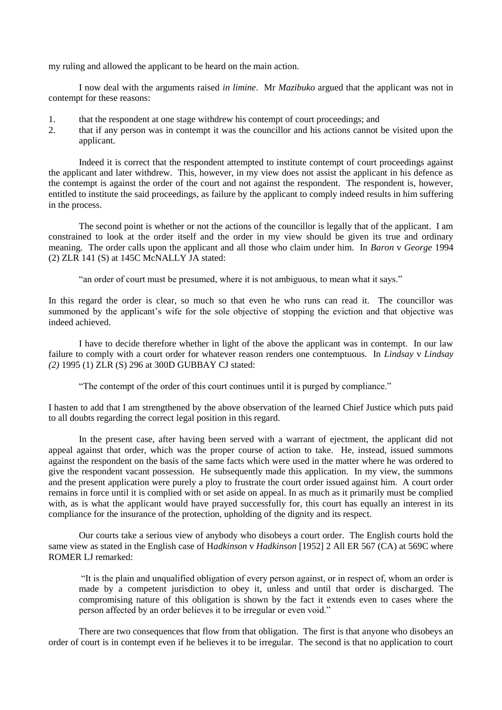my ruling and allowed the applicant to be heard on the main action.

I now deal with the arguments raised *in limine*. Mr *Mazibuko* argued that the applicant was not in contempt for these reasons:

- 1. that the respondent at one stage withdrew his contempt of court proceedings; and
- 2. that if any person was in contempt it was the councillor and his actions cannot be visited upon the applicant.

Indeed it is correct that the respondent attempted to institute contempt of court proceedings against the applicant and later withdrew. This, however, in my view does not assist the applicant in his defence as the contempt is against the order of the court and not against the respondent. The respondent is, however, entitled to institute the said proceedings, as failure by the applicant to comply indeed results in him suffering in the process.

The second point is whether or not the actions of the councillor is legally that of the applicant. I am constrained to look at the order itself and the order in my view should be given its true and ordinary meaning. The order calls upon the applicant and all those who claim under him. In *Baron* v *George* 1994 (2) ZLR 141 (S) at 145C McNALLY JA stated:

"an order of court must be presumed, where it is not ambiguous, to mean what it says."

In this regard the order is clear, so much so that even he who runs can read it. The councillor was summoned by the applicant's wife for the sole objective of stopping the eviction and that objective was indeed achieved.

I have to decide therefore whether in light of the above the applicant was in contempt. In our law failure to comply with a court order for whatever reason renders one contemptuous. In *Lindsay* v *Lindsay (2)* 1995 (1) ZLR (S) 296 at 300D GUBBAY CJ stated:

"The contempt of the order of this court continues until it is purged by compliance."

I hasten to add that I am strengthened by the above observation of the learned Chief Justice which puts paid to all doubts regarding the correct legal position in this regard.

In the present case, after having been served with a warrant of ejectment, the applicant did not appeal against that order, which was the proper course of action to take. He, instead, issued summons against the respondent on the basis of the same facts which were used in the matter where he was ordered to give the respondent vacant possession. He subsequently made this application. In my view, the summons and the present application were purely a ploy to frustrate the court order issued against him. A court order remains in force until it is complied with or set aside on appeal. In as much as it primarily must be complied with, as is what the applicant would have prayed successfully for, this court has equally an interest in its compliance for the insurance of the protection, upholding of the dignity and its respect.

Our courts take a serious view of anybody who disobeys a court order. The English courts hold the same view as stated in the English case of H*adkinson* v *Hadkinson* [1952] 2 All ER 567 (CA) at 569C where ROMER LJ remarked:

"It is the plain and unqualified obligation of every person against, or in respect of, whom an order is made by a competent jurisdiction to obey it, unless and until that order is discharged. The compromising nature of this obligation is shown by the fact it extends even to cases where the person affected by an order believes it to be irregular or even void."

There are two consequences that flow from that obligation. The first is that anyone who disobeys an order of court is in contempt even if he believes it to be irregular. The second is that no application to court